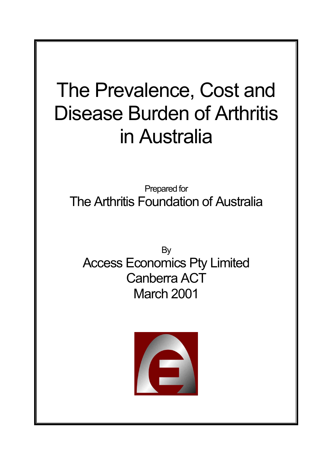# The Prevalence, Cost and Disease Burden of Arthritis in Australia

Prepared for The Arthritis Foundation of Australia

By Access Economics Pty Limited Canberra ACT March 2001

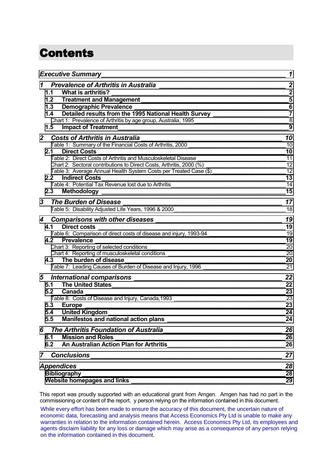# **Contents**

| <b>Executive Summary</b>                                                                                                                                                                                                                | 1                |
|-----------------------------------------------------------------------------------------------------------------------------------------------------------------------------------------------------------------------------------------|------------------|
| 1 Prevalence of Arthritis in Australia [1989] [2010] March 2010 [1989] March 2010                                                                                                                                                       | $\boldsymbol{2}$ |
| What is arthritis?<br>1.1                                                                                                                                                                                                               | $\mathbf{2}$     |
| 1.2 <sub>2</sub>                                                                                                                                                                                                                        | $5\phantom{1}$   |
| 1.3                                                                                                                                                                                                                                     | $6\phantom{1}6$  |
| Detailed results from the 1995 National Health Survey ________________________7<br>1.4                                                                                                                                                  |                  |
|                                                                                                                                                                                                                                         |                  |
| 1.5<br><b>Impact of Treatment Exercise 2008 CONSUMING TREATMENT CONSUMING TREATMENT CONSUMING TREATMENT CONSUMING TREATMENT CONSUMING TREATMENT CONSUMING TREATMENT CONSUMING TREATMENT CONSUMING TREATMENT CONSUMING TREATMENT CON</b> | 9                |
| 2 Costs of Arthritis in Australia                                                                                                                                                                                                       | 10               |
| Costs of Artificial Minimids III Australia<br>Table 1: Summary of the Financial Costs of Arthritis, 2000                                                                                                                                | 10               |
| 2.1 Direct Costs                                                                                                                                                                                                                        | 10               |
|                                                                                                                                                                                                                                         | 11               |
|                                                                                                                                                                                                                                         |                  |
| Table 3: Average Annual Health System Costs per Treated Case (\$) _________________________________12                                                                                                                                   |                  |
| 2.2 Indirect Costs                                                                                                                                                                                                                      | 13               |
|                                                                                                                                                                                                                                         | 14               |
|                                                                                                                                                                                                                                         | 15               |
| 3<br><b>The Burden of Disease</b>                                                                                                                                                                                                       | 17               |
|                                                                                                                                                                                                                                         | 18               |
|                                                                                                                                                                                                                                         | 19               |
| 4.1                                                                                                                                                                                                                                     |                  |
| 19<br>Table 6: Comparison of direct costs of disease and injury, 1993-94                                                                                                                                                                |                  |
| 4.2 Prevalence                                                                                                                                                                                                                          | 19               |
| Chart 3: Reporting of selected conditions                                                                                                                                                                                               | 20               |
| Chart 4: Reporting of musculoskeletal conditions _______________________________                                                                                                                                                        | 20               |
| 4.3 The burden of disease                                                                                                                                                                                                               | 20               |
| Table 7: Leading Causes of Burden of Disease and Injury, 1996                                                                                                                                                                           |                  |
|                                                                                                                                                                                                                                         | 22               |
| 5.1 The United States                                                                                                                                                                                                                   | 22               |
| <b>Canada</b><br>5.2                                                                                                                                                                                                                    | 23               |
|                                                                                                                                                                                                                                         | 23               |
| 5.3 Europe ____                                                                                                                                                                                                                         | 23               |
| United Kingdom_<br>5.4                                                                                                                                                                                                                  | 24               |
| 5.5                                                                                                                                                                                                                                     | 24               |
| 6 The Arthritis Foundation of Australia                                                                                                                                                                                                 | 26               |
| 6.1                                                                                                                                                                                                                                     | 26               |
| An Australian Action Plan for Arthritis And Australian Action Plan for Arthritis<br>6.2                                                                                                                                                 | 26               |
|                                                                                                                                                                                                                                         | 27               |
|                                                                                                                                                                                                                                         | 28               |
| Bibliography<br><u> 1989 - Johann Stein, marwolaethau a bhann an t-Amhain an t-Amhain an t-Amhain an t-Amhain an t-Amhain an t-A</u>                                                                                                    | 28               |
|                                                                                                                                                                                                                                         | 29               |

This report was proudly supported with an educational grant from Amgen. Amgen has had no part in the commissioning or content of the report. y person relying on the information contained in this document.

While every effort has been made to ensure the accuracy of this document, the uncertain nature of economic data, forecasting and analysis means that Access Economics Pty Ltd is unable to make any warranties in relation to the information contained herein. Access Economics Pty Ltd, its employees and agents disclaim liability for any loss or damage which may arise as a consequence of any person relying on the information contained in this document.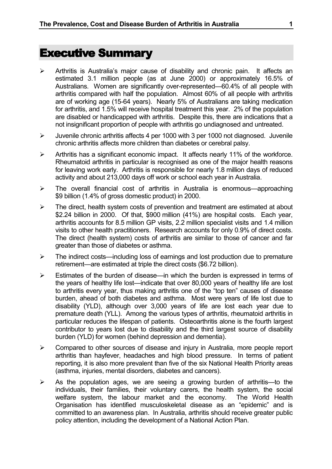# <span id="page-2-0"></span>Executive Summary

- $\triangleright$  Arthritis is Australia's major cause of disability and chronic pain. It affects an estimated 3.1 million people (as at June 2000) or approximately 16.5% of Australians. Women are significantly over-represented—60.4% of all people with arthritis compared with half the population. Almost 60% of all people with arthritis are of working age (15-64 years). Nearly 5% of Australians are taking medication for arthritis, and 1.5% will receive hospital treatment this year. 2% of the population are disabled or handicapped with arthritis. Despite this, there are indications that a not insignificant proportion of people with arthritis go undiagnosed and untreated.
- ¾ Juvenile chronic arthritis affects 4 per 1000 with 3 per 1000 not diagnosed. Juvenile chronic arthritis affects more children than diabetes or cerebral palsy.
- $\triangleright$  Arthritis has a significant economic impact. It affects nearly 11% of the workforce. Rheumatoid arthritis in particular is recognised as one of the major health reasons for leaving work early. Arthritis is responsible for nearly 1.8 million days of reduced activity and about 213,000 days off work or school each year in Australia.
- $\triangleright$  The overall financial cost of arthritis in Australia is enormous—approaching \$9 billion (1.4% of gross domestic product) in 2000.
- $\triangleright$  The direct, health system costs of prevention and treatment are estimated at about \$2.24 billion in 2000. Of that, \$900 million (41%) are hospital costs. Each year, arthritis accounts for 8.5 million GP visits, 2.2 million specialist visits and 1.4 million visits to other health practitioners. Research accounts for only 0.9% of direct costs. The direct (health system) costs of arthritis are similar to those of cancer and far greater than those of diabetes or asthma.
- ¾ The indirect costs—including loss of earnings and lost production due to premature retirement—are estimated at triple the direct costs (\$6.72 billion).
- $\triangleright$  Estimates of the burden of disease—in which the burden is expressed in terms of the years of healthy life lost—indicate that over 80,000 years of healthy life are lost to arthritis every year, thus making arthritis one of the "top ten" causes of disease burden, ahead of both diabetes and asthma. Most were years of life lost due to disability (YLD), although over 3,000 years of life are lost each year due to premature death (YLL). Among the various types of arthritis, rheumatoid arthritis in particular reduces the lifespan of patients. Osteoarthritis alone is the fourth largest contributor to years lost due to disability and the third largest source of disability burden (YLD) for women (behind depression and dementia).
- $\triangleright$  Compared to other sources of disease and injury in Australia, more people report arthritis than hayfever, headaches and high blood pressure. In terms of patient reporting, it is also more prevalent than five of the six National Health Priority areas (asthma, injuries, mental disorders, diabetes and cancers).
- $\triangleright$  As the population ages, we are seeing a growing burden of arthritis—to the individuals, their families, their voluntary carers, the health system, the social welfare system, the labour market and the economy. The World Health Organisation has identified musculoskeletal disease as an "epidemic" and is committed to an awareness plan. In Australia, arthritis should receive greater public policy attention, including the development of a National Action Plan.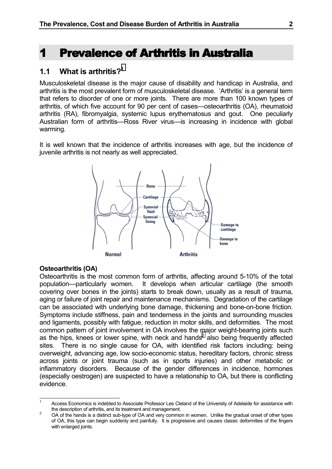# <span id="page-3-0"></span>1 Prevalence of Arthritis in Australia 1 Prevalence of Arthritis in Australia

### **1.1 What is arthritis?1**

Musculoskeletal disease is the major cause of disability and handicap in Australia, and arthritis is the most prevalent form of musculoskeletal disease. 'Arthritis' is a general term that refers to disorder of one or more joints. There are more than 100 known types of arthritis, of which five account for 90 per cent of cases—osteoarthritis (OA), rheumatoid arthritis (RA), fibromyalgia, systemic lupus erythematosus and gout. One peculiarly Australian form of arthritis—Ross River virus—is increasing in incidence with global warming.

It is well known that the incidence of arthritis increases with age, but the incidence of juvenile arthritis is not nearly as well appreciated.



#### **Osteoarthritis (OA)**

Osteoarthritis is the most common form of arthritis, affecting around 5-10% of the total population—particularly women. It develops when articular cartilage (the smooth covering over bones in the joints) starts to break down, usually as a result of trauma, aging or failure of joint repair and maintenance mechanisms. Degradation of the cartilage can be associated with underlying bone damage, thickening and bone-on-bone friction. Symptoms include stiffness, pain and tenderness in the joints and surrounding muscles and ligaments, possibly with fatigue, reduction in motor skills, and deformities. The most common pattern of joint involvement in OA involves the major weight-bearing joints such as the hips, knees or lower spine, with neck and hands<sup>2</sup> also being frequently affected sites. There is no single cause for OA, with identified risk factors including: being overweight, advancing age, low socio-economic status, hereditary factors, chronic stress across joints or joint trauma (such as in sports injuries) and other metabolic or inflammatory disorders. Because of the gender differences in incidence, hormones (especially oestrogen) are suspected to have a relationship to OA, but there is conflicting evidence.

 $\overline{1}$ Access Economics is indebted to Associate Professor Les Cleland of the University of Adelaide for assistance with the description of arthritis, and its treatment and management.<br><sup>2</sup> OA of the hands is a distinct sub-type of OA and very common in women. Unlike the gradual onset of other types

of OA, this type can begin suddenly and painfully. It is progressive and causes classic deformities of the fingers with enlarged joints.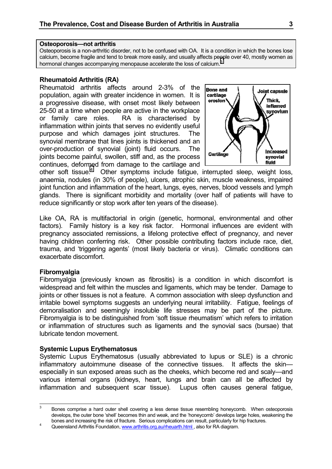#### **Osteoporosis—not arthritis**

Osteoporosis is a non-arthritic disorder, not to be confused with OA. It is a condition in which the bones lose calcium, become fragile and tend to break more easily, and usually affects people over 40, mostly women as hormonal changes accompanying menopause accelerate the loss of calcium.<sup>3</sup>

#### **Rheumatoid Arthritis (RA)**

Rheumatoid arthritis affects around 2-3% of the population, again with greater incidence in women. It is a progressive disease, with onset most likely between 25-50 at a time when people are active in the workplace or family care roles. RA is characterised by inflammation within joints that serves no evidently useful purpose and which damages joint structures. The synovial membrane that lines joints is thickened and an over-production of synovial (joint) fluid occurs. The joints become painful, swollen, stiff and, as the process continues, deformed from damage to the cartilage and



other soft tissue.<sup>4</sup> Other symptoms include fatigue, interrupted sleep, weight loss, anaemia, nodules (in 30% of people), ulcers, atrophic skin, muscle weakness, impaired joint function and inflammation of the heart, lungs, eyes, nerves, blood vessels and lymph glands. There is significant morbidity and mortality (over half of patients will have to reduce significantly or stop work after ten years of the disease).

Like OA, RA is multifactorial in origin (genetic, hormonal, environmental and other factors). Family history is a key risk factor. Hormonal influences are evident with pregnancy associated remissions, a lifelong protective effect of pregnancy, and never having children conferring risk. Other possible contributing factors include race, diet, trauma, and 'triggering agents' (most likely bacteria or virus). Climatic conditions can exacerbate discomfort.

#### **Fibromyalgia**

Fibromyalgia (previously known as fibrositis) is a condition in which discomfort is widespread and felt within the muscles and ligaments, which may be tender. Damage to joints or other tissues is not a feature. A common association with sleep dysfunction and irritable bowel symptoms suggests an underlying neural irritability. Fatigue, feelings of demoralisation and seemingly insoluble life stresses may be part of the picture. Fibromyalgia is to be distinguished from 'soft tissue rheumatism' which refers to irritation or inflammation of structures such as ligaments and the synovial sacs (bursae) that lubricate tendon movement.

#### **Systemic Lupus Erythematosus**

Systemic Lupus Erythematosus (usually abbreviated to lupus or SLE) is a chronic inflammatory autoimmune disease of the connective tissues. It affects the skin especially in sun exposed areas such as the cheeks, which become red and scaly—and various internal organs (kidneys, heart, lungs and brain can all be affected by inflammation and subsequent scar tissue). Lupus often causes general fatigue,

 $\overline{3}$ <sup>3</sup> Bones comprise a hard outer shell covering a less dense tissue resembling honeycomb. When osteoporosis develops, the outer bone 'shell' becomes thin and weak, and the 'honeycomb' develops large holes, weakening the bones and increasing the risk of fracture. Serious complications can result, particularly for hip fractures.<br>4 Queensland Arthritis Foundation, www.arthritis.org.au/rheuarth.html , also for RA diagram.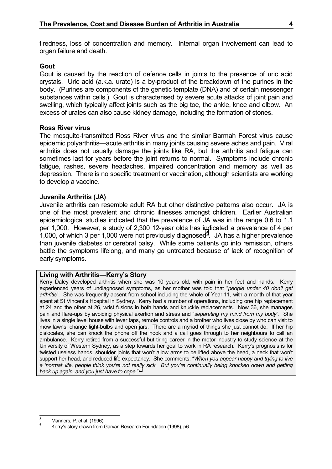tiredness, loss of concentration and memory. Internal organ involvement can lead to organ failure and death.

#### **Gout**

Gout is caused by the reaction of defence cells in joints to the presence of uric acid crystals. Uric acid (a.k.a. urate) is a by-product of the breakdown of the purines in the body. (Purines are components of the genetic template (DNA) and of certain messenger substances within cells.) Gout is characterised by severe acute attacks of joint pain and swelling, which typically affect joints such as the big toe, the ankle, knee and elbow. An excess of urates can also cause kidney damage, including the formation of stones.

#### **Ross River virus**

The mosquito-transmitted Ross River virus and the similar Barmah Forest virus cause epidemic polyarthritis—acute arthritis in many joints causing severe aches and pain. Viral arthritis does not usually damage the joints like RA, but the arthritis and fatigue can sometimes last for years before the joint returns to normal. Symptoms include chronic fatigue, rashes, severe headaches, impaired concentration and memory as well as depression. There is no specific treatment or vaccination, although scientists are working to develop a vaccine.

#### **Juvenile Arthritis (JA)**

Juvenile arthritis can resemble adult RA but other distinctive patterns also occur. JA is one of the most prevalent and chronic illnesses amongst children. Earlier Australian epidemiological studies indicated that the prevalence of JA was in the range 0.6 to 1.1 per 1,000. However, a study of 2,300 12-year olds has indicated a prevalence of 4 per 1,000, of which 3 per 1,000 were not previously diagnosed<sup>5</sup>. JA has a higher prevalence than juvenile diabetes or cerebral palsy. While some patients go into remission, others battle the symptoms lifelong, and many go untreated because of lack of recognition of early symptoms.

#### **Living with Arthritis—Kerry's Story**

Kerry Daley developed arthritis when she was 10 years old, with pain in her feet and hands. Kerry experienced years of undiagnosed symptoms, as her mother was told that "*people under 40 don't get arthritis*". She was frequently absent from school including the whole of Year 11, with a month of that year spent at St Vincent's Hospital in Sydney. Kerry had a number of operations, including one hip replacement at 24 and the other at 26, wrist fusions in both hands and knuckle replacements. Now 36, she manages pain and flare-ups by avoiding physical exertion and stress and "*separating my mind from my body*". She lives in a single level house with lever taps, remote controls and a brother who lives close by who can visit to mow lawns, change light-bulbs and open jars. There are a myriad of things she just cannot do. If her hip dislocates, she can knock the phone off the hook and a call goes through to her neighbours to call an ambulance. Kerry retired from a successful but tiring career in the motor industry to study science at the University of Western Sydney, as a step towards her goal to work in RA research. Kerry's prognosis is for twisted useless hands, shoulder joints that won't allow arms to be lifted above the head, a neck that won't support her head, and reduced life expectancy. She comments: "*When you appear happy and trying to live a 'normal' life, people think you're not really sick. But you're continually being knocked down and getting back up again, and you just have to cope*."6

 $\overline{5}$ 

<sup>&</sup>lt;sup>5</sup> Manners, P. et al, (1996).<br><sup>6</sup> Kerry's story drawn from Garvan Research Foundation (1998), p6.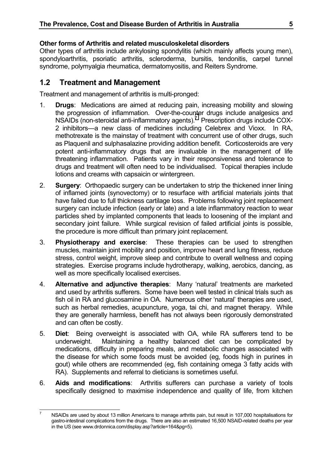### <span id="page-6-0"></span>**Other forms of Arthritis and related musculoskeletal disorders**

Other types of arthritis include ankylosing spondylitis (which mainly affects young men), spondyloarthritis, psoriatic arthritis, scleroderma, bursitis, tendonitis, carpel tunnel syndrome, polymyalgia rheumatica, dermatomyositis, and Reiters Syndrome.

## **1.2 Treatment and Management**

Treatment and management of arthritis is multi-pronged:

- 1. **Drugs**: Medications are aimed at reducing pain, increasing mobility and slowing the progression of inflammation. Over-the-counter drugs include analgesics and  $NSAIDS$  (non-steroidal anti-inflammatory agents).<sup>7</sup> Prescription drugs include COX-2 inhibitors—a new class of medicines including Celebrex and Vioxx. In RA, methotrexate is the mainstay of treatment with concurrent use of other drugs, such as Plaquenil and sulphasalazine providing addition benefit. Corticosteroids are very potent anti-inflammatory drugs that are invaluable in the management of life threatening inflammation. Patients vary in their responsiveness and tolerance to drugs and treatment will often need to be individualised. Topical therapies include lotions and creams with capsaicin or wintergreen.
- 2. **Surgery**: Orthopaedic surgery can be undertaken to strip the thickened inner lining of inflamed joints (synovectomy) or to resurface with artificial materials joints that have failed due to full thickness cartilage loss. Problems following joint replacement surgery can include infection (early or late) and a late inflammatory reaction to wear particles shed by implanted components that leads to loosening of the implant and secondary joint failure. While surgical revision of failed artificial joints is possible, the procedure is more difficult than primary joint replacement.
- 3. **Physiotherapy and exercise**: These therapies can be used to strengthen muscles, maintain joint mobility and position, improve heart and lung fitness, reduce stress, control weight, improve sleep and contribute to overall wellness and coping strategies. Exercise programs include hydrotherapy, walking, aerobics, dancing, as well as more specifically localised exercises.
- 4. **Alternative and adjunctive therapies**: Many 'natural' treatments are marketed and used by arthritis sufferers. Some have been well tested in clinical trials such as fish oil in RA and glucosamine in OA. Numerous other 'natural' therapies are used, such as herbal remedies, acupuncture, yoga, tai chi, and magnet therapy. While they are generally harmless, benefit has not always been rigorously demonstrated and can often be costly.
- 5. **Diet**: Being overweight is associated with OA, while RA sufferers tend to be underweight. Maintaining a healthy balanced diet can be complicated by medications, difficulty in preparing meals, and metabolic changes associated with the disease for which some foods must be avoided (eg, foods high in purines in gout) while others are recommended (eg, fish containing omega 3 fatty acids with RA). Supplements and referral to dieticians is sometimes useful.
- 6. **Aids and modifications**: Arthritis sufferers can purchase a variety of tools specifically designed to maximise independence and quality of life, from kitchen

 $\overline{7}$ NSAIDs are used by about 13 million Americans to manage arthritis pain, but result in 107,000 hospitalisations for gastro-intestinal complications from the drugs. There are also an estimated 16,500 NSAID-related deaths per year in the US (see www.drdonnica.com/display.asp?article=164&pg=5).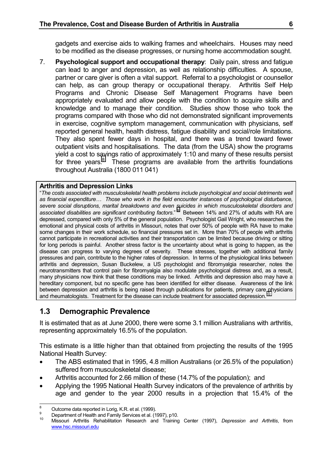<span id="page-7-0"></span>gadgets and exercise aids to walking frames and wheelchairs. Houses may need to be modified as the disease progresses, or nursing home accommodation sought.

7. **Psychological support and occupational therapy**: Daily pain, stress and fatigue can lead to anger and depression, as well as relationship difficulties. A spouse, partner or care giver is often a vital support. Referral to a psychologist or counsellor can help, as can group therapy or occupational therapy. Arthritis Self Help Programs and Chronic Disease Self Management Programs have been appropriately evaluated and allow people with the condition to acquire skills and knowledge and to manage their condition. Studies show those who took the programs compared with those who did not demonstrated significant improvements in exercise, cognitive symptom management, communication with physicians, self reported general health, health distress, fatigue disability and social/role limitations. They also spent fewer days in hospital, and there was a trend toward fewer outpatient visits and hospitalisations. The data (from the USA) show the programs yield a cost to savings ratio of approximately 1:10 and many of these results persist for three years. $8$  These programs are available from the arthritis foundations throughout Australia (1800 011 041)

#### **Arthritis and Depression Links**

"*The costs associated with musculoskeletal health problems include psychological and social detriments well as financial expenditure… Those who work in the field encounter instances of psychological disturbance, severe social disruptions, marital breakdowns and even suicides in which musculoskeletal disorders and associated disabilities are significant contributing factors*." 9 Between 14% and 27% of adults with RA are depressed, compared with only 5% of the general population. Psychologist Gail Wright, who researches the emotional and physical costs of arthritis in Missouri, notes that over 50% of people with RA have to make some changes in their work schedule, so financial pressures set in. More than 70% of people with arthritis cannot participate in recreational activities and their transportation can be limited because driving or sitting for long periods is painful. Another stress factor is the uncertainty about what is going to happen, as the disease can progress to varying degrees of severity. These stresses, together with additional family pressures and pain, contribute to the higher rates of depression. In terms of the physiological links between arthritis and depression, Susan Buckelew, a US psychologist and fibromyalgia researcher, notes the neurotransmitters that control pain for fibromyalgia also modulate psychological distress and, as a result, many physicians now think that these conditions may be linked. Arthritis and depression also may have a hereditary component, but no specific gene has been identified for either disease. Awareness of the link between depression and arthritis is being raised through publications for patients, primary care physicians and rheumatologists. Treatment for the disease can include treatment for associated depression.<sup>1</sup>

# **1.3 Demographic Prevalence**

It is estimated that as at June 2000, there were some 3.1 million Australians with arthritis, representing approximately 16.5% of the population.

This estimate is a little higher than that obtained from projecting the results of the 1995 National Health Survey:

- The ABS estimated that in 1995, 4.8 million Australians (or 26.5% of the population) suffered from musculoskeletal disease;
- Arthritis accounted for 2.66 million of these (14.7% of the population); and
- Applying the 1995 National Health Survey indicators of the prevalence of arthritis by age and gender to the year 2000 results in a projection that 15.4% of the

 $\mathbf{a}$ 

<sup>&</sup>lt;sup>8</sup> Outcome data reported in Lorig, K.R. et al. (1999).<br><sup>9</sup> Department of Health and Family Services et al. (1997), p10.<br><sup>10</sup> Missouri Arthritis Rehabilitation Research and Training Center (1997), *Depression and Arthritis* www.hsc.missouri.edu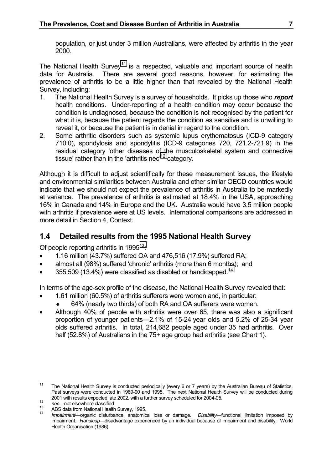<span id="page-8-0"></span>population, or just under 3 million Australians, were affected by arthritis in the year 2000.

The National Health Survey<sup>11</sup> is a respected, valuable and important source of health data for Australia. There are several good reasons, however, for estimating the prevalence of arthritis to be a little higher than that revealed by the National Health Survey, including:

- 1. The National Health Survey is a survey of households. It picks up those who *report* health conditions. Under-reporting of a health condition may occur because the condition is undiagnosed, because the condition is not recognised by the patient for what it is, because the patient regards the condition as sensitive and is unwilling to reveal it, or because the patient is in denial in regard to the condition.
- 2. Some arthritic disorders such as systemic lupus erythematosus (ICD-9 category 710.0), spondylosis and spondylitis (ICD-9 categories 720, 721.2-721.9) in the residual category 'other diseases of the musculoskeletal system and connective tissue' rather than in the 'arthritis nec'<sup>12</sup> category.

Although it is difficult to adjust scientifically for these measurement issues, the lifestyle and environmental similarities between Australia and other similar OECD countries would indicate that we should not expect the prevalence of arthritis in Australia to be markedly at variance. The prevalence of arthritis is estimated at 18.4% in the USA, approaching 16% in Canada and 14% in Europe and the UK. Australia would have 3.5 million people with arthritis if prevalence were at US levels. International comparisons are addressed in more detail in Section 4, Context.

# **1.4 Detailed results from the 1995 National Health Survey**

Of people reporting arthritis in  $1995^{13}$ .

- 1.16 million (43.7%) suffered OA and 476,516 (17.9%) suffered RA;
- almost all (98%) suffered 'chronic' arthritis (more than 6 months); and
- 355,509 (13.4%) were classified as disabled or handicapped.<sup>14</sup>

In terms of the age-sex profile of the disease, the National Health Survey revealed that:

- 1.61 million (60.5%) of arthritis sufferers were women and, in particular:
	- ♦ 64% (nearly two thirds) of both RA and OA sufferers were women.
- Although 40% of people with arthritis were over 65, there was also a significant proportion of younger patients—2.1% of 15-24 year olds and 5.2% of 25-34 year olds suffered arthritis. In total, 214,682 people aged under 35 had arthritis. Over half (52.8%) of Australians in the 75+ age group had arthritis (see Chart 1).

 $11$ The National Health Survey is conducted periodically (every 6 or 7 years) by the Australian Bureau of Statistics. Past surveys were conducted in 1989-90 and 1995. The next National Health Survey will be conducted during

<sup>2001</sup> with results expected late 2002, with a further survey scheduled for 2004-05.<br>
nec—not elsewhere classified<br>
ABS data from National Health Survey, 1995.<br>
<sup>14</sup> Impairment—organic disturbance, anatomical loss or damage. impairment. *Handicap—*disadvantage experienced by an individual because of impairment and disability. World Health Organisation (1986).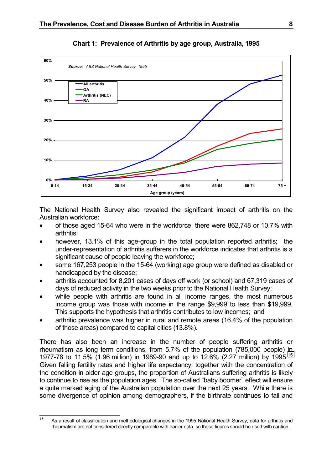<span id="page-9-0"></span>

### **Chart 1: Prevalence of Arthritis by age group, Australia, 1995**

The National Health Survey also revealed the significant impact of arthritis on the Australian workforce:

- of those aged 15-64 who were in the workforce, there were 862,748 or 10.7% with arthritis;
- however, 13.1% of this age-group in the total population reported arthritis; the under-representation of arthritis sufferers in the workforce indicates that arthritis is a significant cause of people leaving the workforce;
- some 167,253 people in the 15-64 (working) age group were defined as disabled or handicapped by the disease;
- arthritis accounted for 8,201 cases of days off work (or school) and 67,319 cases of days of reduced activity in the two weeks prior to the National Health Survey;
- while people with arthritis are found in all income ranges, the most numerous income group was those with income in the range \$9,999 to less than \$19,999. This supports the hypothesis that arthritis contributes to low incomes; and
- arthritic prevalence was higher in rural and remote areas (16.4% of the population of those areas) compared to capital cities (13.8%).

There has also been an increase in the number of people suffering arthritis or rheumatism as long term conditions, from 5.7% of the population (785,000 people) in 1977-78 to 11.5% (1.96 million) in 1989-90 and up to 12.6% (2.27 million) by 1995.15 Given falling fertility rates and higher life expectancy, together with the concentration of the condition in older age groups, the proportion of Australians suffering arthritis is likely to continue to rise as the population ages. The so-called "baby boomer" effect will ensure a quite marked aging of the Australian population over the next 25 years. While there is some divergence of opinion among demographers, if the birthrate continues to fall and

 $15$ As a result of classification and methodological changes in the 1995 National Health Survey, data for arthritis and rheumatism are not considered directly comparable with earlier data, so these figures should be used with caution.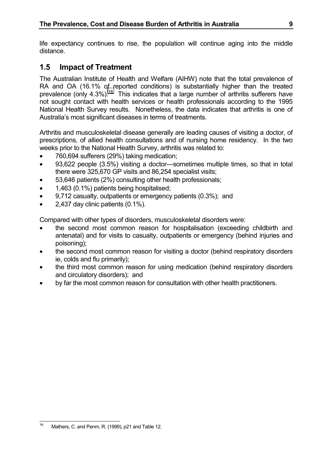<span id="page-10-0"></span>life expectancy continues to rise, the population will continue aging into the middle distance.

# **1.5 Impact of Treatment**

The Australian Institute of Health and Welfare (AIHW) note that the total prevalence of RA and OA (16.1% of reported conditions) is substantially higher than the treated prevalence (only  $4.3\%$ ).<sup>16</sup> This indicates that a large number of arthritis sufferers have not sought contact with health services or health professionals according to the 1995 National Health Survey results. Nonetheless, the data indicates that arthritis is one of Australia's most significant diseases in terms of treatments.

Arthritis and musculoskeletal disease generally are leading causes of visiting a doctor, of prescriptions, of allied health consultations and of nursing home residency. In the two weeks prior to the National Health Survey, arthritis was related to:

- 760,694 sufferers (29%) taking medication;
- 93,622 people (3.5%) visiting a doctor—sometimes multiple times, so that in total there were 325,670 GP visits and 86,254 specialist visits;
- 53,646 patients (2%) consulting other health professionals;
- 1,463 (0.1%) patients being hospitalised;
- 9,712 casualty, outpatients or emergency patients (0.3%); and
- 2.437 day clinic patients (0.1%).

Compared with other types of disorders, musculoskeletal disorders were:

- the second most common reason for hospitalisation (exceeding childbirth and antenatal) and for visits to casualty, outpatients or emergency (behind injuries and poisoning);
- the second most common reason for visiting a doctor (behind respiratory disorders ie, colds and flu primarily);
- the third most common reason for using medication (behind respiratory disorders and circulatory disorders); and
- by far the most common reason for consultation with other health practitioners.

 $16$ Mathers, C. and Penm, R. (1999), p21 and Table 12.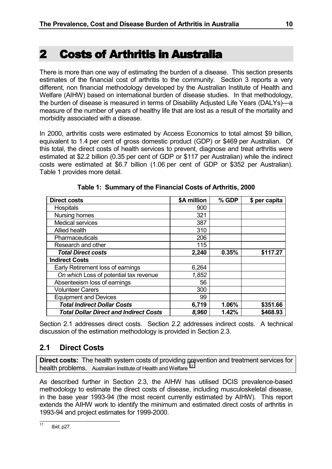# <span id="page-11-0"></span>2 Costs of Arthritis in Australia

There is more than one way of estimating the burden of a disease. This section presents estimates of the financial cost of arthritis to the community. Section 3 reports a very different, non financial methodology developed by the Australian Institute of Health and Welfare (AIHW) based on international burden of disease studies. In that methodology, the burden of disease is measured in terms of Disability Adjusted Life Years (DALYs)—a measure of the number of years of healthy life that are lost as a result of the mortality and morbidity associated with a disease.

In 2000, arthritis costs were estimated by Access Economics to total almost \$9 billion, equivalent to 1.4 per cent of gross domestic product (GDP) or \$469 per Australian. Of this total, the direct costs of health services to prevent, diagnose and treat arthritis were estimated at \$2.2 billion (0.35 per cent of GDP or \$117 per Australian) while the indirect costs were estimated at \$6.7 billion (1.06 per cent of GDP or \$352 per Australian). Table 1 provides more detail.

| <b>Direct costs</b>                           | \$A million | % GDP | \$ per capita |
|-----------------------------------------------|-------------|-------|---------------|
| Hospitals                                     | 900         |       |               |
| Nursing homes                                 | 321         |       |               |
| <b>Medical services</b>                       | 387         |       |               |
| Allied health                                 | 310         |       |               |
| Pharmaceuticals                               | 206         |       |               |
| Research and other                            | 115         |       |               |
| <b>Total Direct costs</b>                     | 2,240       | 0.35% | \$117.27      |
| <b>Indirect Costs</b>                         |             |       |               |
| Early Retirement loss of earnings             | 6,264       |       |               |
| On which Loss of potential tax revenue        | 1,852       |       |               |
| Absenteeism loss of earnings                  | 56          |       |               |
| <b>Volunteer Carers</b>                       | 300         |       |               |
| <b>Equipment and Devices</b>                  | 99          |       |               |
| <b>Total Indirect Dollar Costs</b>            | 6,719       | 1.06% | \$351.66      |
| <b>Total Dollar Direct and Indirect Costs</b> | 8,960       | 1.42% | \$468.93      |

**Table 1: Summary of the Financial Costs of Arthritis, 2000**

Section 2.1 addresses direct costs. Section 2.2 addresses indirect costs. A technical discussion of the estimation methodology is provided in Section 2.3.

# **2.1 Direct Costs**

**Direct costs:** The health system costs of providing prevention and treatment services for health problems. Australian Institute of Health and Welfare<sup>17</sup>

As described further in Section 2.3, the AIHW has utilised DCIS prevalence-based methodology to estimate the direct costs of disease, including musculoskeletal disease, in the base year 1993-94 (the most recent currently estimated by AIHW). This report extends the AIHW work to identify the minimum and estimated direct costs of arthritis in 1993-94 and project estimates for 1999-2000.

 $\overline{17}$ *Ibid*, p27.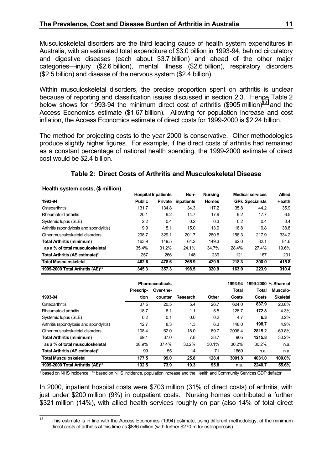<span id="page-12-0"></span>Musculoskeletal disorders are the third leading cause of health system expenditures in Australia, with an estimated total expenditure of \$3.0 billion in 1993-94, behind circulatory and digestive diseases (each about \$3.7 billion) and ahead of the other major categories—injury (\$2.6 billion), mental illness (\$2.6 billion), respiratory disorders (\$2.5 billion) and disease of the nervous system (\$2.4 billion).

Within musculoskeletal disorders, the precise proportion spent on arthritis is unclear because of reporting and classification issues discussed in section 2.3. Hence Table 2 below shows for 1993-94 the minimum direct cost of arthritis (\$905 million)<sup>18</sup> and the Access Economics estimate (\$1.67 billion). Allowing for population increase and cost inflation, the Access Economics estimate of direct costs for 1999-2000 is \$2.24 billion.

The method for projecting costs to the year 2000 is conservative. Other methodologies produce slightly higher figures. For example, if the direct costs of arthritis had remained as a constant percentage of national health spending, the 1999-2000 estimate of direct cost would be \$2.4 billion.

#### **Table 2: Direct Costs of Arthritis and Musculoskeletal Disease**

**Health system costs, (\$ million)**

|                  |                | Non-                       | <b>Nursina</b> |       |       | <b>Allied</b>                                     |
|------------------|----------------|----------------------------|----------------|-------|-------|---------------------------------------------------|
| <b>Public</b>    | <b>Private</b> | inpatients                 | <b>Homes</b>   |       |       | Health                                            |
| 131.7            | 134.8          | 34.3                       | 117.2          | 35.8  | 44.2  | 35.9                                              |
| 20.1             | 9.2            | 14.7                       | 17.9           | 9.2   | 17.7  | 6.5                                               |
| $2.2\phantom{0}$ | 0.4            | 0.2                        | 0.3            | 0.2   | 0.4   | 0.4                                               |
| 9.9              | 5.1            | 15.0                       | 13.9           | 16.8  | 19.8  | 38.8                                              |
| 298.7            | 329.1          | 201.7                      | 280.6          | 156.3 | 217.9 | 334.2                                             |
| 163.9            | 149.5          | 64.2                       | 149.3          | 62.0  | 82.1  | 81.6                                              |
| 35.4%            | 31.2%          | 24.1%                      | 34.7%          | 28.4% | 27.4% | 19.6%                                             |
| 257              | 266            | 148                        | 239            | 121   | 167   | 231                                               |
| 462.6            | 478.6          | 265.9                      | 429.9          | 218.3 | 300.0 | 415.8                                             |
| 345.3            | 357.3          | 198.5                      | 320.9          | 163.0 | 223.9 | 310.4                                             |
|                  |                | <b>Hospital Inpatients</b> |                |       |       | <b>Medical services</b><br><b>GPs Specialists</b> |

|                                         |           | <b>Pharmaceuticals</b> |                 |       | 1993-94      | 1999-2000 % Share of |                 |
|-----------------------------------------|-----------|------------------------|-----------------|-------|--------------|----------------------|-----------------|
|                                         | Prescrip- | Over-the-              |                 |       | <b>Total</b> | Total                | Musculo-        |
| 1993-94                                 | tion      | counter                | <b>Research</b> | Other | Costs        | Costs                | <b>Skeletal</b> |
| Osteoarthritis                          | 37.5      | 20.5                   | 5.4             | 26.7  | 624.0        | 837.9                | 20.8%           |
| Rheumatoid arthritis                    | 18.7      | 8.1                    | 1.1             | 5.5   | 128.7        | 172.8                | 4.3%            |
| Systemic lupus (SLE)                    | 0.2       | 0.1                    | 0.0             | 0.2   | 4.7          | 6.3                  | 0.2%            |
| Arthritis (spondylosis and spondylitis) | 12.7      | 8.3                    | 1.3             | 6.3   | 148.0        | 198.7                | 4.9%            |
| Other musculoskeletal disorders         | 108.4     | 62.0                   | 18.0            | 89.7  | 2096.4       | 2815.2               | 69.8%           |
| <b>Total Arthritis (minimum)</b>        | 69.1      | 37.0                   | 7.8             | 38.7  | 905          | 1215.8               | 30.2%           |
| as a % of total musculoskeletal         | 38.9%     | 37.4%                  | 30.2%           | 30.1% | 30.2%        | 30.2%                | n.a.            |
| Total Arthritis (AE estimate)*          | 99        | 55                     | 14              | 71    | 1669         | n.a.                 | n.a.            |
| <b>Total Musculoskeletal</b>            | 177.5     | 99.0                   | 25.8            | 128.4 | 3001.8       | 4031.0               | 100.0%          |
| 1999-2000 Total Arthritis (AE)**        | 132.5     | 73.9                   | 19.3            | 95.8  | n.a.         | 2240.7               | 55.6%           |

\* based on NHS incidence \*\* based on NHS incidence, population increase and the Health and Community Services GDP deflator

In 2000, inpatient hospital costs were \$703 million (31% of direct costs) of arthritis, with just under \$200 million (9%) in outpatient costs. Nursing homes contributed a further \$321 million (14%), with allied health services roughly on par (also 14% of total direct

<sup>18</sup> <sup>18</sup> This estimate is in line with the Access Economics (1994) estimate, using different methodology, of the minimum direct costs of arthritis at this time as \$886 million (with further \$270 m for osteoporosis).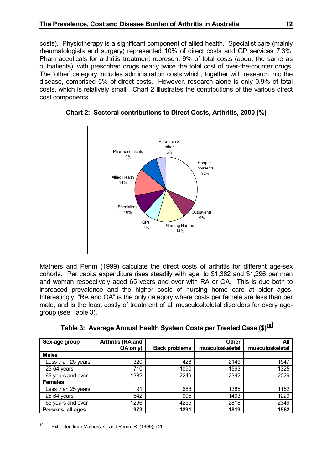<span id="page-13-0"></span>costs). Physiotherapy is a significant component of allied health. Specialist care (mainly rheumatologists and surgery) represented 10% of direct costs and GP services 7.3%. Pharmaceuticals for arthritis treatment represent 9% of total costs (about the same as outpatients), with prescribed drugs nearly twice the total cost of over-the-counter drugs. The 'other' category includes administration costs which, together with research into the disease, comprised 5% of direct costs. However, research alone is only 0.9% of total costs, which is relatively small. Chart 2 illustrates the contributions of the various direct cost components.



**Chart 2: Sectoral contributions to Direct Costs, Arthritis, 2000 (%)**

Mathers and Penm (1999) calculate the direct costs of arthritis for different age-sex cohorts. Per capita expenditure rises steadily with age, to \$1,382 and \$1,296 per man and woman respectively aged 65 years and over with RA or OA. This is due both to increased prevalence and the higher costs of nursing home care at older ages. Interestingly, "RA and OA" is the only category where costs per female are less than per male, and is the least costly of treatment of all musculoskeletal disorders for every agegroup (see Table 3).

|  |  |  |  | Table 3:  Average Annual Health System Costs per Treated Case (\$) <sup>19</sup> |
|--|--|--|--|----------------------------------------------------------------------------------|
|--|--|--|--|----------------------------------------------------------------------------------|

| Sex-age group      | Arthritis (RA and |                      | <b>Other</b>    | All             |
|--------------------|-------------------|----------------------|-----------------|-----------------|
|                    | <b>OA only)</b>   | <b>Back problems</b> | musculoskeletal | musculoskeletal |
| <b>Males</b>       |                   |                      |                 |                 |
| Less than 25 years | 320               | 428                  | 2149            | 1547            |
| 25-64 years        | 710               | 1090                 | 1593            | 1325            |
| 65 years and over  | 1382              | 2249                 | 2342            | 2029            |
| <b>Females</b>     |                   |                      |                 |                 |
| Less than 25 years | 91                | 688                  | 1385            | 1152            |
| $25-64$ years      | 642               | 995                  | 1493            | 1229            |
| 65 years and over  | 1296              | 4255                 | 2818            | 2349            |
| Persons, all ages  | 973               | 1291                 | 1819            | 1562            |

<sup>19</sup> Extracted from Mathers, C. and Penm, R. (1999), p26.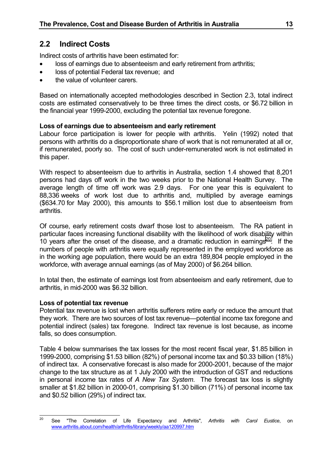# <span id="page-14-0"></span>**2.2 Indirect Costs**

Indirect costs of arthritis have been estimated for:

- loss of earnings due to absenteeism and early retirement from arthritis;
- loss of potential Federal tax revenue; and
- the value of volunteer carers.

Based on internationally accepted methodologies described in Section 2.3, total indirect costs are estimated conservatively to be three times the direct costs, or \$6.72 billion in the financial year 1999-2000, excluding the potential tax revenue foregone.

### **Loss of earnings due to absenteeism and early retirement**

Labour force participation is lower for people with arthritis. Yelin (1992) noted that persons with arthritis do a disproportionate share of work that is not remunerated at all or, if remunerated, poorly so. The cost of such under-remunerated work is not estimated in this paper.

With respect to absenteeism due to arthritis in Australia, section 1.4 showed that 8,201 persons had days off work in the two weeks prior to the National Health Survey. The average length of time off work was 2.9 days. For one year this is equivalent to 88,336 weeks of work lost due to arthritis and, multiplied by average earnings (\$634.70 for May 2000), this amounts to \$56.1 million lost due to absenteeism from arthritis.

Of course, early retirement costs dwarf those lost to absenteeism. The RA patient in particular faces increasing functional disability with the likelihood of work disability within 10 years after the onset of the disease, and a dramatic reduction in earnings $^{20}$ . If the numbers of people with arthritis were equally represented in the employed workforce as in the working age population, there would be an extra 189,804 people employed in the workforce, with average annual earnings (as of May 2000) of \$6.264 billion.

In total then, the estimate of earnings lost from absenteeism and early retirement, due to arthritis, in mid-2000 was \$6.32 billion.

### **Loss of potential tax revenue**

Potential tax revenue is lost when arthritis sufferers retire early or reduce the amount that they work. There are two sources of lost tax revenue—potential income tax foregone and potential indirect (sales) tax foregone. Indirect tax revenue is lost because, as income falls, so does consumption.

Table 4 below summarises the tax losses for the most recent fiscal year, \$1.85 billion in 1999-2000, comprising \$1.53 billion (82%) of personal income tax and \$0.33 billion (18%) of indirect tax. A conservative forecast is also made for 2000-2001, because of the major change to the tax structure as at 1 July 2000 with the introduction of GST and reductions in personal income tax rates of *A New Tax System*. The forecast tax loss is slightly smaller at \$1.82 billion in 2000-01, comprising \$1.30 billion (71%) of personal income tax and \$0.52 billion (29%) of indirect tax.

 $20$ <sup>20</sup> See "The Correlation of Life Expectancy and Arthritis", *Arthritis with Carol Eustice*, on www.arthritis.about.com/health/arthritis/library/weekly/aa120997.htm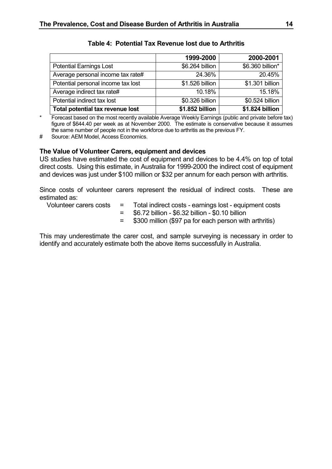<span id="page-15-0"></span>

|                                    | 1999-2000       | 2000-2001        |
|------------------------------------|-----------------|------------------|
| <b>Potential Earnings Lost</b>     | \$6.264 billion | \$6.360 billion* |
| Average personal income tax rate#  | 24.36%          | 20.45%           |
| Potential personal income tax lost | \$1.526 billion | \$1.301 billion  |
| Average indirect tax rate#         | 10.18%          | 15.18%           |
| Potential indirect tax lost        | \$0.326 billion | \$0.524 billion  |
| Total potential tax revenue lost   | \$1.852 billion | \$1.824 billion  |

### **Table 4: Potential Tax Revenue lost due to Arthritis**

Forecast based on the most recently available Average Weekly Earnings (public and private before tax) figure of \$644.40 per week as at November 2000. The estimate is conservative because it assumes the same number of people not in the workforce due to arthritis as the previous FY.

# Source: AEM Model, Access Economics.

#### **The Value of Volunteer Carers, equipment and devices**

US studies have estimated the cost of equipment and devices to be 4.4% on top of total direct costs. Using this estimate, in Australia for 1999-2000 the indirect cost of equipment and devices was just under \$100 million or \$32 per annum for each person with arthritis.

Since costs of volunteer carers represent the residual of indirect costs. These are estimated as:

- Volunteer carers costs = Total indirect costs earnings lost equipment costs
	- = \$6.72 billion \$6.32 billion \$0.10 billion
	- = \$300 million (\$97 pa for each person with arthritis)

This may underestimate the carer cost, and sample surveying is necessary in order to identify and accurately estimate both the above items successfully in Australia.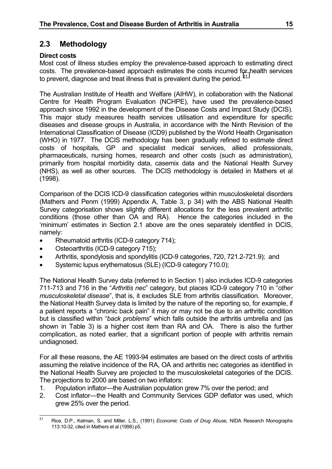# <span id="page-16-0"></span>**2.3 Methodology**

### **Direct costs**

Most cost of illness studies employ the prevalence-based approach to estimating direct costs. The prevalence-based approach estimates the costs incurred for health services to prevent, diagnose and treat illness that is prevalent during the period. $21$ 

The Australian Institute of Health and Welfare (AIHW), in collaboration with the National Centre for Health Program Evaluation (NCHPE), have used the prevalence-based approach since 1992 in the development of the Disease Costs and Impact Study (DCIS). This major study measures health services utilisation and expenditure for specific diseases and disease groups in Australia, in accordance with the Ninth Revision of the International Classification of Disease (ICD9) published by the World Health Organisation (WHO) in 1977. The DCIS methodology has been gradually refined to estimate direct costs of hospitals, GP and specialist medical services, allied professionals, pharmaceuticals, nursing homes, research and other costs (such as administration), primarily from hospital morbidity data, casemix data and the National Health Survey (NHS), as well as other sources. The DCIS methodology is detailed in Mathers et al (1998).

Comparison of the DCIS ICD-9 classification categories within musculoskeletal disorders (Mathers and Penm (1999) Appendix A, Table 3, p 34) with the ABS National Health Survey categorisation shows slightly different allocations for the less prevalent arthritic conditions (those other than OA and RA). Hence the categories included in the 'minimum' estimates in Section 2.1 above are the ones separately identified in DCIS, namely:

- Rheumatoid arthritis (ICD-9 category 714);
- Osteoarthritis (ICD-9 category 715);
- Arthritis, spondylosis and spondylitis (ICD-9 categories, 720, 721.2-721.9); and
- Systemic lupus erythematosus (SLE) (ICD-9 category 710.0);

The National Health Survey data (referred to in Section 1) also includes ICD-9 categories 711-713 and 716 in the "*Arthritis nec*" category, but places ICD-9 category 710 in "*other musculoskeletal disease*", that is, it excludes SLE from arthritis classification. Moreover, the National Health Survey data is limited by the nature of the reporting so, for example, if a patient reports a "chronic back pain" it may or may not be due to an arthritic condition but is classified within "*back problems*" which falls outside the arthritis umbrella and (as shown in Table 3) is a higher cost item than RA and OA. There is also the further complication, as noted earlier, that a significant portion of people with arthritis remain undiagnosed.

For all these reasons, the AE 1993-94 estimates are based on the direct costs of arthritis assuming the relative incidence of the RA, OA and arthritis nec categories as identified in the National Health Survey are projected to the musculoskeletal categories of the DCIS. The projections to 2000 are based on two inflators:

- 1. Population inflator—the Australian population grew 7% over the period; and
- 2. Cost inflator—the Health and Community Services GDP deflator was used, which grew 25% over the period.

 $21$ <sup>21</sup> Rice, D.P., Kelman, S. and Miller, L.S., (1991) *Economic Costs of Drug Abuse,* NIDA Research Monographs 113:10-32, cited in Mathers et al (1998) p5.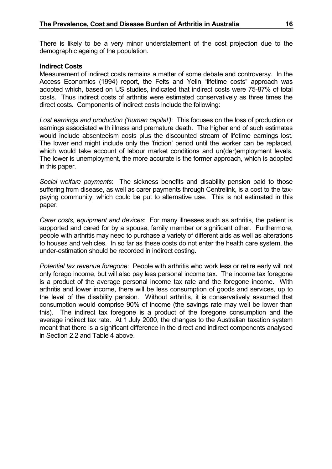There is likely to be a very minor understatement of the cost projection due to the demographic ageing of the population.

#### **Indirect Costs**

Measurement of indirect costs remains a matter of some debate and controversy. In the Access Economics (1994) report, the Felts and Yelin "lifetime costs" approach was adopted which, based on US studies, indicated that indirect costs were 75-87% of total costs. Thus indirect costs of arthritis were estimated conservatively as three times the direct costs. Components of indirect costs include the following:

*Lost earnings and production ('human capital')*: This focuses on the loss of production or earnings associated with illness and premature death. The higher end of such estimates would include absenteeism costs plus the discounted stream of lifetime earnings lost. The lower end might include only the 'friction' period until the worker can be replaced, which would take account of labour market conditions and un(der)employment levels. The lower is unemployment, the more accurate is the former approach, which is adopted in this paper.

*Social welfare payments*: The sickness benefits and disability pension paid to those suffering from disease, as well as carer payments through Centrelink, is a cost to the taxpaying community, which could be put to alternative use. This is not estimated in this paper.

*Carer costs, equipment and devices*: For many illnesses such as arthritis, the patient is supported and cared for by a spouse, family member or significant other. Furthermore, people with arthritis may need to purchase a variety of different aids as well as alterations to houses and vehicles. In so far as these costs do not enter the health care system, the under-estimation should be recorded in indirect costing.

*Potential tax revenue foregone*: People with arthritis who work less or retire early will not only forego income, but will also pay less personal income tax. The income tax foregone is a product of the average personal income tax rate and the foregone income. With arthritis and lower income, there will be less consumption of goods and services, up to the level of the disability pension. Without arthritis, it is conservatively assumed that consumption would comprise 90% of income (the savings rate may well be lower than this). The indirect tax foregone is a product of the foregone consumption and the average indirect tax rate. At 1 July 2000, the changes to the Australian taxation system meant that there is a significant difference in the direct and indirect components analysed in Section 2.2 and Table 4 above.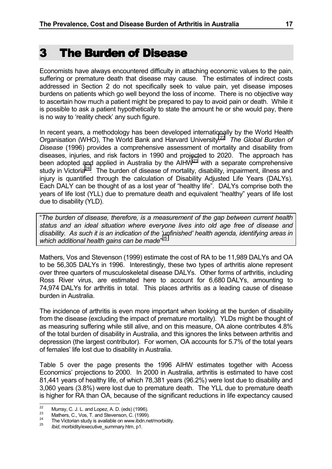<span id="page-18-0"></span>Economists have always encountered difficulty in attaching economic values to the pain, suffering or premature death that disease may cause. The estimates of indirect costs addressed in Section 2 do not specifically seek to value pain, yet disease imposes burdens on patients which go well beyond the loss of income. There is no objective way to ascertain how much a patient might be prepared to pay to avoid pain or death. While it is possible to ask a patient hypothetically to state the amount he or she would pay, there is no way to 'reality check' any such figure.

In recent years, a methodology has been developed internationally by the World Health Organisation (WHO), The World Bank and Harvard University.22 *The Global Burden of Disease* (1996) provides a comprehensive assessment of mortality and disability from diseases, injuries, and risk factors in 1990 and projected to 2020. The approach has been adopted and applied in Australia by the AIH $\dot{W}^{23}$  with a separate comprehensive study in Victoria<sup>24</sup>. The burden of disease of mortality, disability, impairment, illness and injury is quantified through the calculation of Disability Adjusted Life Years (DALYs). Each DALY can be thought of as a lost year of "healthy life". DALYs comprise both the years of life lost (YLL) due to premature death and equivalent "healthy" years of life lost due to disability (YLD).

"*The burden of disease, therefore, is a measurement of the gap between current health status and an ideal situation where everyone lives into old age free of disease and disability. As such it is an indication of the 'unfinished' health agenda, identifying areas in which additional health gains can be made*" 25

Mathers, Vos and Stevenson (1999) estimate the cost of RA to be 11,989 DALYs and OA to be 56,305 DALYs in 1996. Interestingly, these two types of arthritis alone represent over three quarters of musculoskeletal disease DALYs. Other forms of arthritis, including Ross River virus, are estimated here to account for 6,680 DALYs, amounting to 74,974 DALYs for arthritis in total. This places arthritis as a leading cause of disease burden in Australia.

The incidence of arthritis is even more important when looking at the burden of disability from the disease (excluding the impact of premature mortality). YLDs might be thought of as measuring suffering while still alive, and on this measure, OA alone contributes 4.8% of the total burden of disability in Australia, and this ignores the links between arthritis and depression (the largest contributor). For women, OA accounts for 5.7% of the total years of females' life lost due to disability in Australia.

Table 5 over the page presents the 1996 AIHW estimates together with Access Economics' projections to 2000. In 2000 in Australia, arthritis is estimated to have cost 81,441 years of healthy life, of which 78,381 years (96.2%) were lost due to disability and 3,060 years (3.8%) were lost due to premature death. The YLL due to premature death is higher for RA than OA, because of the significant reductions in life expectancy caused

 $\overline{22}$ 

<sup>22</sup> Murray, C. J. L. and Lopez, A. D. (eds) (1996).<br>
<sup>23</sup> Mathers, C., Vos, T. and Stevenson, C. (1999).<br>
<sup>24</sup> The Victorian study is available on www.ibdn.net/morbidity.<br> *Ibid*, morbidity/executive\_summary.htm, p1.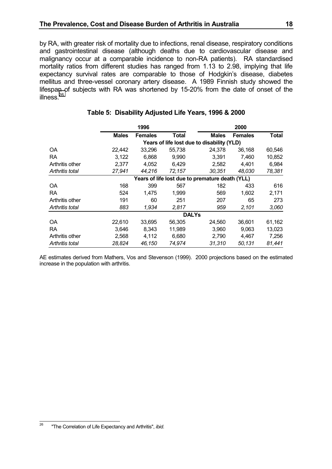<span id="page-19-0"></span>by RA, with greater risk of mortality due to infections, renal disease, respiratory conditions and gastrointestinal disease (although deaths due to cardiovascular disease and malignancy occur at a comparable incidence to non-RA patients). RA standardised mortality ratios from different studies has ranged from 1.13 to 2.98, implying that life expectancy survival rates are comparable to those of Hodgkin's disease, diabetes mellitus and three-vessel coronary artery disease. A 1989 Finnish study showed the lifespan of subjects with RA was shortened by 15-20% from the date of onset of the illness $^{26}$ 

|                 | 1996         |                |              |                                                 | 2000           |              |
|-----------------|--------------|----------------|--------------|-------------------------------------------------|----------------|--------------|
|                 | <b>Males</b> | <b>Females</b> | Total        | <b>Males</b>                                    | <b>Females</b> | <b>Total</b> |
|                 |              |                |              | Years of life lost due to disability (YLD)      |                |              |
| <b>OA</b>       | 22,442       | 33,296         | 55,738       | 24,378                                          | 36,168         | 60,546       |
| RA.             | 3.122        | 6.868          | 9.990        | 3.391                                           | 7,460          | 10,852       |
| Arthritis other | 2.377        | 4.052          | 6,429        | 2,582                                           | 4.401          | 6,984        |
| Arthritis total | 27,941       | 44,216         | 72,157       | 30,351                                          | 48,030         | 78,381       |
|                 |              |                |              | Years of life lost due to premature death (YLL) |                |              |
| OA              | 168          | 399            | 567          | 182                                             | 433            | 616          |
| RA.             | 524          | 1.475          | 1.999        | 569                                             | 1,602          | 2,171        |
| Arthritis other | 191          | 60             | 251          | 207                                             | 65             | 273          |
| Arthritis total | 883          | 1,934          | 2,817        | 959                                             | 2,101          | 3,060        |
|                 |              |                | <b>DALYs</b> |                                                 |                |              |
| OA              | 22,610       | 33,695         | 56,305       | 24,560                                          | 36,601         | 61,162       |
| RA.             | 3,646        | 8,343          | 11,989       | 3,960                                           | 9,063          | 13,023       |
| Arthritis other | 2,568        | 4,112          | 6,680        | 2,790                                           | 4,467          | 7,256        |
| Arthritis total | 28,824       | 46,150         | 74,974       | 31,310                                          | 50,131         | 81,441       |

#### **Table 5: Disability Adjusted Life Years, 1996 & 2000**

AE estimates derived from Mathers, Vos and Stevenson (1999). 2000 projections based on the estimated increase in the population with arthritis.

<sup>26</sup> "The Correlation of Life Expectancy and Arthritis", *ibid.*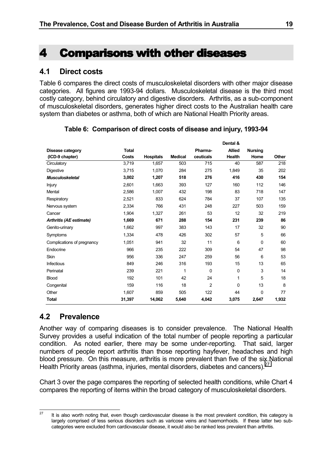# <span id="page-20-0"></span>4 Comparisons with other diseases

# **4.1 Direct costs**

Table 6 compares the direct costs of musculoskeletal disorders with other major disease categories. All figures are 1993-94 dollars. Musculoskeletal disease is the third most costly category, behind circulatory and digestive disorders. Arthritis, as a sub-component of musculoskeletal disorders, generates higher direct costs to the Australian health care system than diabetes or asthma, both of which are National Health Priority areas.

|                            |              |                  |                |                | Dental &        |                |       |
|----------------------------|--------------|------------------|----------------|----------------|-----------------|----------------|-------|
| Disease category           | <b>Total</b> |                  |                | Pharma-        | <b>Allied</b>   | <b>Nursing</b> |       |
| (ICD-9 chapter)            | Costs        | <b>Hospitals</b> | <b>Medical</b> | ceuticals      | Health          | Home           | Other |
| Circulatory                | 3,719        | 1,657            | 503            | 715            | 40              | 587            | 218   |
| <b>Digestive</b>           | 3.715        | 1.070            | 284            | 275            | 1,849           | 35             | 202   |
| <b>Musculoskeletal</b>     | 3,002        | 1,207            | 518            | 276            | 416             | 430            | 154   |
| Injury                     | 2,601        | 1,663            | 393            | 127            | 160             | 112            | 146   |
| Mental                     | 2,586        | 1,007            | 432            | 198            | 83              | 718            | 147   |
| Respiratory                | 2,521        | 833              | 624            | 784            | 37              | 107            | 135   |
| Nervous system             | 2,334        | 766              | 431            | 248            | 227             | 503            | 159   |
| Cancer                     | 1,904        | 1,327            | 261            | 53             | 12 <sup>2</sup> | 32             | 219   |
| Arthritis (AE estimate)    | 1,669        | 671              | 288            | 154            | 231             | 239            | 86    |
| Genito-urinary             | 1,662        | 997              | 383            | 143            | 17              | 32             | 90    |
| Symptoms                   | 1,334        | 478              | 426            | 302            | 57              | 5              | 66    |
| Complications of pregnancy | 1,051        | 941              | 32             | 11             | 6               | $\Omega$       | 60    |
| Endocrine                  | 966          | 235              | 222            | 309            | 54              | 47             | 98    |
| <b>Skin</b>                | 956          | 336              | 247            | 259            | 56              | 6              | 53    |
| <b>Infectious</b>          | 849          | 246              | 316            | 193            | 15              | 13             | 65    |
| Perinatal                  | 239          | 221              | 1              | $\Omega$       | $\Omega$        | 3              | 14    |
| <b>Blood</b>               | 192          | 101              | 42             | 24             | 1               | 5              | 18    |
| Congenital                 | 159          | 116              | 18             | $\overline{c}$ | 0               | 13             | 8     |
| Other                      | 1,607        | 859              | 505            | 122            | 44              | 0              | 77    |
| <b>Total</b>               | 31,397       | 14,062           | 5,640          | 4,042          | 3,075           | 2,647          | 1,932 |

### **Table 6: Comparison of direct costs of disease and injury, 1993-94**

# **4.2 Prevalence**

Another way of comparing diseases is to consider prevalence. The National Health Survey provides a useful indication of the total number of people reporting a particular condition. As noted earlier, there may be some under-reporting. That said, larger numbers of people report arthritis than those reporting hayfever, headaches and high blood pressure. On this measure, arthritis is more prevalent than five of the six National Health Priority areas (asthma, injuries, mental disorders, diabetes and cancers).  $27$ 

Chart 3 over the page compares the reporting of selected health conditions, while Chart 4 compares the reporting of items within the broad category of musculoskeletal disorders.

 $\overline{27}$ It is also worth noting that, even though cardiovascular disease is the most prevalent condition, this category is largely comprised of less serious disorders such as varicose veins and haemorrhoids. If these latter two subcategories were excluded from cardiovascular disease, it would also be ranked less prevalent than arthritis.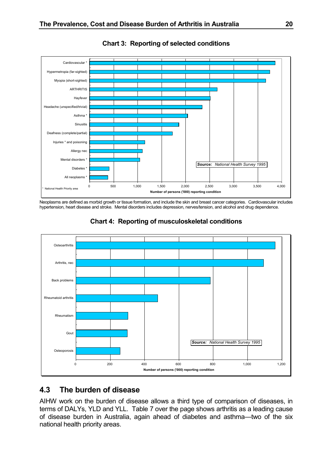<span id="page-21-0"></span>

**Chart 3: Reporting of selected conditions**

Neoplasms are defined as morbid growth or tissue formation, and include the skin and breast cancer categories. Cardiovascular includes hypertension, heart disease and stroke. Mental disorders includes depression, nerves/tension, and alcohol and drug dependence.





# **4.3 The burden of disease**

AIHW work on the burden of disease allows a third type of comparison of diseases, in terms of DALYs, YLD and YLL. Table 7 over the page shows arthritis as a leading cause of disease burden in Australia, again ahead of diabetes and asthma—two of the six national health priority areas.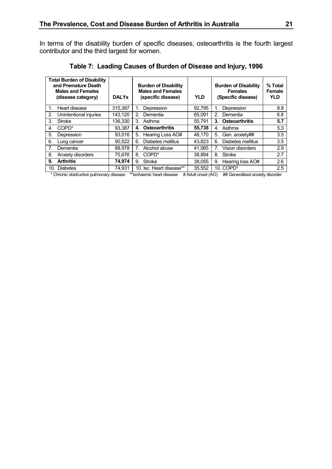<span id="page-22-0"></span>In terms of the disability burden of specific diseases, osteoarthritis is the fourth largest contributor and the third largest for women.

|                  | <b>Total Burden of Disability</b><br>and Premature Death<br><b>Males and Females</b><br>(disease category) | <b>DALYs</b> | <b>Burden of Disability</b><br><b>Males and Females</b><br>(specific disease) | <b>YLD</b> | <b>Burden of Disability</b><br><b>Females</b><br>(Specific disease) | % Total<br>Female<br><b>YLD</b> |
|------------------|------------------------------------------------------------------------------------------------------------|--------------|-------------------------------------------------------------------------------|------------|---------------------------------------------------------------------|---------------------------------|
| 1.               | Heart disease                                                                                              | 315,387      | Depression<br>1.                                                              | 92,795     | Depression                                                          | 9.8                             |
| 2 <sub>1</sub>   | Unintentional injuries                                                                                     | 143.120      | 2 <sub>1</sub><br>Dementia                                                    | 65.091     | Dementia<br>$2 -$                                                   | 6.8                             |
| 3.               | <b>Stroke</b>                                                                                              | 136,330      | 3.<br>Asthma                                                                  | 55,791     | <b>Osteoarthritis</b><br>3.                                         | 5.7                             |
| 4.               | COPD <sup>*</sup>                                                                                          | 93.387       | <b>Osteoarthritis</b><br>4.                                                   | 55,738     | Asthma<br>4.                                                        | 5.3                             |
| 5.               | Depression                                                                                                 | 93.016       | 5.<br>Hearing Loss AO#                                                        | 48.170     | Gen. anxiety##<br>5.                                                | 3.5                             |
| 6.               | Lung cancer                                                                                                | 90.522       | Diabetes mellitus<br>6.                                                       | 43.823     | Diabetes mellitus<br>6.                                             | 3.5                             |
| $\overline{7}$ . | Dementia                                                                                                   | 88.978       | Alcohol abuse<br>7.                                                           | 41.065     | Vision disorders                                                    | 2.9                             |
| 8.               | Anxiety disorders                                                                                          | 75.676       | COPD <sup>*</sup><br>8.                                                       | 38.894     | <b>Stroke</b><br>8.                                                 | 2.7                             |
| 9.               | <b>Arthritis</b>                                                                                           | 74,974       | Stroke<br>9.                                                                  | 38.055     | Hearing loss AO#<br>9.                                              | 2.6                             |
| 10.              | Diabetes                                                                                                   | 74.931       | 10. Isc. Heart disease**                                                      | 35.552     | 10. COPD*                                                           | 2.5                             |

**Table 7: Leading Causes of Burden of Disease and Injury, 1996**

\* Chronic obstructive pulmonary disease \*\*Ischaemic heart disease # Adult onset (AO) ## Generalised anxiety disorder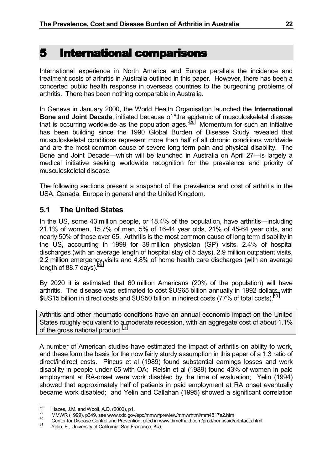# <span id="page-23-0"></span>5 International comparisons

International experience in North America and Europe parallels the incidence and treatment costs of arthritis in Australia outlined in this paper. However, there has been a concerted public health response in overseas countries to the burgeoning problems of arthritis. There has been nothing comparable in Australia.

In Geneva in January 2000, the World Health Organisation launched the **International Bone and Joint Decade**, initiated because of "the epidemic of musculoskeletal disease that is occurring worldwide as the population ages.<sup>"28</sup> Momentum for such an initiative has been building since the 1990 Global Burden of Disease Study revealed that musculoskeletal conditions represent more than half of all chronic conditions worldwide and are the most common cause of severe long term pain and physical disability. The Bone and Joint Decade—which will be launched in Australia on April 27—is largely a medical initiative seeking worldwide recognition for the prevalence and priority of musculoskeletal disease.

The following sections present a snapshot of the prevalence and cost of arthritis in the USA, Canada, Europe in general and the United Kingdom.

# **5.1 The United States**

In the US, some 43 million people, or 18.4% of the population, have arthritis—including 21.1% of women, 15.7% of men, 5% of 16-44 year olds, 21% of 45-64 year olds, and nearly 50% of those over 65. Arthritis is the most common cause of long term disability in the US, accounting in 1999 for 39 million physician (GP) visits, 2.4% of hospital discharges (with an average length of hospital stay of 5 days), 2.9 million outpatient visits, 2.2 million emergency visits and 4.8% of home health care discharges (with an average length of 88.7 days). $<sup>2</sup>$ </sup>

By 2020 it is estimated that 60 million Americans (20% of the population) will have arthritis. The disease was estimated to cost \$US65 billion annually in 1992 dollars, with \$US15 billion in direct costs and \$US50 billion in indirect costs (77% of total costs).<sup>30</sup>

Arthritis and other rheumatic conditions have an annual economic impact on the United States roughly equivalent to a moderate recession, with an aggregate cost of about 1.1% of the gross national product.<sup>31</sup>

A number of American studies have estimated the impact of arthritis on ability to work, and these form the basis for the now fairly sturdy assumption in this paper of a 1:3 ratio of direct/indirect costs. Pincus et al (1989) found substantial earnings losses and work disability in people under 65 with OA; Reisin et al (1989) found 43% of women in paid employment at RA-onset were work disabled by the time of evaluation; Yelin (1994) showed that approximately half of patients in paid employment at RA onset eventually became work disabled; and Yelin and Callahan (1995) showed a significant correlation

 $28$ 

Hazes, J.M. and Woolf, A.D. (2000), p1.<br>
WIMWR (1999), p349, see www.cdc.gov/epo/mmwr/preview/mmwrhtml/mm4817a2.htm<br>
29 MMWR (1999), p349, see www.cdc.gov/epo/mmwr/preview/mmwrhtml/mm4817a2.htm<br>
21 Center for Disease Cont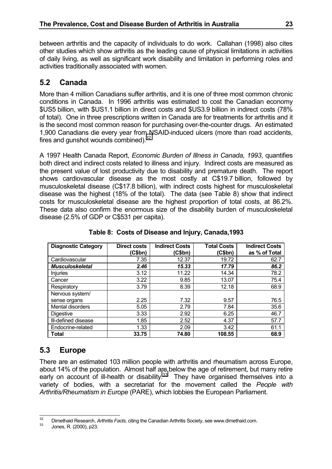<span id="page-24-0"></span>between arthritis and the capacity of individuals to do work. Callahan (1998) also cites other studies which show arthritis as the leading cause of physical limitations in activities of daily living, as well as significant work disability and limitation in performing roles and activities traditionally associated with women.

# **5.2 Canada**

More than 4 million Canadians suffer arthritis, and it is one of three most common chronic conditions in Canada. In 1996 arthritis was estimated to cost the Canadian economy \$US5 billion, with \$US1.1 billion in direct costs and \$US3.9 billion in indirect costs (78% of total). One in three prescriptions written in Canada are for treatments for arthritis and it is the second most common reason for purchasing over-the-counter drugs. An estimated 1,900 Canadians die every year from NSAID-induced ulcers (more than road accidents, fires and gunshot wounds combined). $32$ 

A 1997 Health Canada Report, *Economic Burden of Illness in Canada, 1993*, quantifies both direct and indirect costs related to illness and injury. Indirect costs are measured as the present value of lost productivity due to disability and premature death. The report shows cardiovascular disease as the most costly at C\$19.7 billion, followed by musculoskeletal disease (C\$17.8 billion), with indirect costs highest for musculoskeletal disease was the highest (18% of the total). The data (see Table 8) show that indirect costs for musculoskeletal disease are the highest proportion of total costs, at 86.2%. These data also confirm the enormous size of the disability burden of musculoskeletal disease (2.5% of GDP or C\$531 per capita).

| <b>Diagnostic Category</b> | <b>Direct costs</b><br>(C\$bn) | <b>Indirect Costs</b><br>(C\$bn) | <b>Total Costs</b><br>(C\$bn) | <b>Indirect Costs</b><br>as % of Total |
|----------------------------|--------------------------------|----------------------------------|-------------------------------|----------------------------------------|
| Cardiovascular             | 7.35                           | 12.37                            | 19.72                         | 62.7                                   |
| <b>Musculoskeletal</b>     | 2.46                           | 15.33                            | 17.79                         | 86.2                                   |
| <b>Injuries</b>            | 3.12                           | 11.22                            | 14.34                         | 78.2                                   |
| Cancer                     | 3.22                           | 9.85                             | 13.07                         | 75.4                                   |
| Respiratory                | 3.79                           | 8.39                             | 12.18                         | 68.9                                   |
| Nervous system/            |                                |                                  |                               |                                        |
| sense organs               | 2.25                           | 7.32                             | 9.57                          | 76.5                                   |
| Mental disorders           | 5.05                           | 2.79                             | 7.84                          | 35.6                                   |
| Digestive                  | 3.33                           | 2.92                             | 6.25                          | 46.7                                   |
| III-defined disease        | 1.85                           | 2.52                             | 4.37                          | 57.7                                   |
| Endocrine-related          | 1.33                           | 2.09                             | 3.42                          | 61.1                                   |
| <b>Total</b>               | 33.75                          | 74.80                            | 108.55                        | 68.9                                   |

**Table 8: Costs of Disease and Injury, Canada,1993**

# **5.3 Europe**

There are an estimated 103 million people with arthritis and rheumatism across Europe, about 14% of the population. Almost half are below the age of retirement, but many retire early on account of ill-health or disability. $33$  They have organised themselves into a variety of bodies, with a secretariat for the movement called the *People with Arthritis/Rheumatism in Europe* (PARE), which lobbies the European Parliament.

 $32$ <sup>32</sup> Dimethaid Research, *Arthritis Facts,* citing the Canadian Arthritis Society, see www.dimethaid.com. <sup>33</sup> Jones, R. (2000), p23.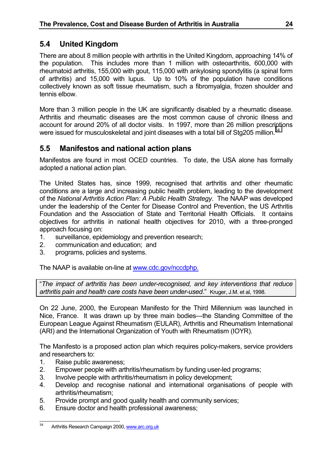# <span id="page-25-0"></span>**5.4 United Kingdom**

There are about 8 million people with arthritis in the United Kingdom, approaching 14% of the population. This includes more than 1 million with osteoarthritis, 600,000 with rheumatoid arthritis, 155,000 with gout, 115,000 with ankylosing spondylitis (a spinal form of arthritis) and 15,000 with lupus. Up to 10% of the population have conditions collectively known as soft tissue rheumatism, such a fibromyalgia, frozen shoulder and tennis elbow.

More than 3 million people in the UK are significantly disabled by a rheumatic disease. Arthritis and rheumatic diseases are the most common cause of chronic illness and account for around 20% of all doctor visits. In 1997, more than 26 million prescriptions were issued for musculoskeletal and joint diseases with a total bill of Stg205 million.<sup>34</sup>

# **5.5 Manifestos and national action plans**

Manifestos are found in most OCED countries. To date, the USA alone has formally adopted a national action plan.

The United States has, since 1999, recognised that arthritis and other rheumatic conditions are a large and increasing public health problem, leading to the development of the *National Arthritis Action Plan: A Public Health Strategy*. The NAAP was developed under the leadership of the Center for Disease Control and Prevention, the US Arthritis Foundation and the Association of State and Territorial Health Officials. It contains objectives for arthritis in national health objectives for 2010, with a three-pronged approach focusing on:

- 1. surveillance, epidemiology and prevention research;
- 2. communication and education; and
- 3. programs, policies and systems.

The NAAP is available on-line at www.cdc.gov/nccdphp.

"*The impact of arthritis has been under-recognised, and key interventions that reduce arthritis pain and health care costs have been under-used*." Kruger, J.M. et al, 1998.

On 22 June, 2000, the European Manifesto for the Third Millennium was launched in Nice, France. It was drawn up by three main bodies—the Standing Committee of the European League Against Rheumatism (EULAR), Arthritis and Rheumatism International (ARI) and the International Organization of Youth with Rheumatism (IOYR).

The Manifesto is a proposed action plan which requires policy-makers, service providers and researchers to:

- 1. Raise public awareness;
- 2. Empower people with arthritis/rheumatism by funding user-led programs;
- 3. Involve people with arthritis/rheumatism in policy development;
- 4. Develop and recognise national and international organisations of people with arthritis/rheumatism;
- 5. Provide prompt and good quality health and community services;
- 6. Ensure doctor and health professional awareness;

 $34$ Arthritis Research Campaign 2000, www.arc.org.uk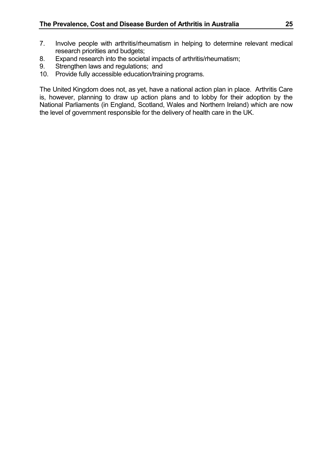- 7. Involve people with arthritis/rheumatism in helping to determine relevant medical research priorities and budgets;
- 8. Expand research into the societal impacts of arthritis/rheumatism;
- 9. Strengthen laws and regulations; and
- 10. Provide fully accessible education/training programs.

The United Kingdom does not, as yet, have a national action plan in place. Arthritis Care is, however, planning to draw up action plans and to lobby for their adoption by the National Parliaments (in England, Scotland, Wales and Northern Ireland) which are now the level of government responsible for the delivery of health care in the UK.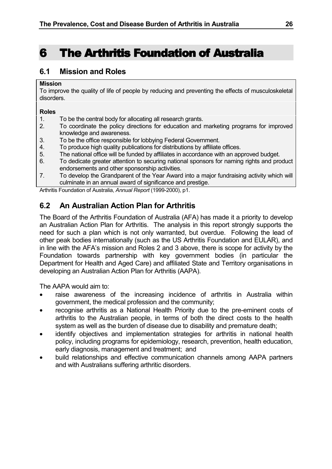# <span id="page-27-0"></span>6 The Arthritis Foundation of Australia 6 The Arthritis Foundation of Australia

# **6.1 Mission and Roles**

#### **Mission**

To improve the quality of life of people by reducing and preventing the effects of musculoskeletal disorders.

#### **Roles**

- 1. To be the central body for allocating all research grants.
- 2. To coordinate the policy directions for education and marketing programs for improved knowledge and awareness.
- 3. To be the office responsible for lobbying Federal Government.
- 4. To produce high quality publications for distributions by affiliate offices.
- 5. The national office will be funded by affiliates in accordance with an approved budget.
- 6. To dedicate greater attention to securing national sponsors for naming rights and product endorsements and other sponsorship activities.
- 7. To develop the Grandparent of the Year Award into a major fundraising activity which will culminate in an annual award of significance and prestige.

Arthritis Foundation of Australia, *Annual Report* (1999-2000), p1.

# **6.2 An Australian Action Plan for Arthritis**

The Board of the Arthritis Foundation of Australia (AFA) has made it a priority to develop an Australian Action Plan for Arthritis. The analysis in this report strongly supports the need for such a plan which is not only warranted, but overdue. Following the lead of other peak bodies internationally (such as the US Arthritis Foundation and EULAR), and in line with the AFA's mission and Roles 2 and 3 above, there is scope for activity by the Foundation towards partnership with key government bodies (in particular the Department for Health and Aged Care) and affiliated State and Territory organisations in developing an Australian Action Plan for Arthritis (AAPA).

The AAPA would aim to:

- raise awareness of the increasing incidence of arthritis in Australia within government, the medical profession and the community;
- recognise arthritis as a National Health Priority due to the pre-eminent costs of arthritis to the Australian people, in terms of both the direct costs to the health system as well as the burden of disease due to disability and premature death;
- identify objectives and implementation strategies for arthritis in national health policy, including programs for epidemiology, research, prevention, health education, early diagnosis, management and treatment; and
- build relationships and effective communication channels among AAPA partners and with Australians suffering arthritic disorders.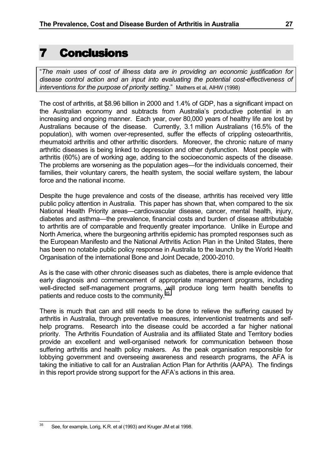# <span id="page-28-0"></span>7 Conclusions 7 Conclusions

"*The main uses of cost of illness data are in providing an economic justification for disease control action and an input into evaluating the potential cost-effectiveness of interventions for the purpose of priority setting*." Mathers et al, AIHW (1998)

The cost of arthritis, at \$8.96 billion in 2000 and 1.4% of GDP, has a significant impact on the Australian economy and subtracts from Australia's productive potential in an increasing and ongoing manner. Each year, over 80,000 years of healthy life are lost by Australians because of the disease. Currently, 3.1 million Australians (16.5% of the population), with women over-represented, suffer the effects of crippling osteoarthritis, rheumatoid arthritis and other arthritic disorders. Moreover, the chronic nature of many arthritic diseases is being linked to depression and other dysfunction. Most people with arthritis (60%) are of working age, adding to the socioeconomic aspects of the disease. The problems are worsening as the population ages—for the individuals concerned, their families, their voluntary carers, the health system, the social welfare system, the labour force and the national income.

Despite the huge prevalence and costs of the disease, arthritis has received very little public policy attention in Australia. This paper has shown that, when compared to the six National Health Priority areas—cardiovascular disease, cancer, mental health, injury, diabetes and asthma—the prevalence, financial costs and burden of disease attributable to arthritis are of comparable and frequently greater importance. Unlike in Europe and North America, where the burgeoning arthritis epidemic has prompted responses such as the European Manifesto and the National Arthritis Action Plan in the United States, there has been no notable public policy response in Australia to the launch by the World Health Organisation of the international Bone and Joint Decade, 2000-2010.

As is the case with other chronic diseases such as diabetes, there is ample evidence that early diagnosis and commencement of appropriate management programs, including well-directed self-management programs, will produce long term health benefits to patients and reduce costs to the community.<sup>35</sup>

There is much that can and still needs to be done to relieve the suffering caused by arthritis in Australia, through preventative measures, interventionist treatments and selfhelp programs. Research into the disease could be accorded a far higher national priority. The Arthritis Foundation of Australia and its affiliated State and Territory bodies provide an excellent and well-organised network for communication between those suffering arthritis and health policy makers. As the peak organisation responsible for lobbying government and overseeing awareness and research programs, the AFA is taking the initiative to call for an Australian Action Plan for Arthritis (AAPA). The findings in this report provide strong support for the AFA's actions in this area.

<sup>35</sup> <sup>35</sup> See, for example, Lorig, K.R. et al (1993) and Kruger JM et al 1998.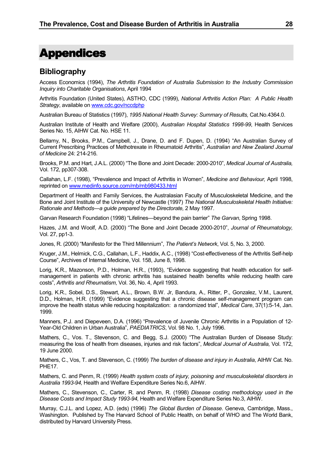# <span id="page-29-0"></span>Appendices

### **Bibliography**

Access Economics (1994), *The Arthritis Foundation of Australia Submission to the Industry Commission Inquiry into Charitable Organisations*, April 1994

Arthritis Foundation (United States), ASTHO, CDC (1999), *National Arthritis Action Plan: A Public Health Strategy*, available on www.cdc.gov/nccdphp

Australian Bureau of Statistics (1997), *1995 National Health Survey: Summary of Results,* Cat.No.4364.0.

Australian Institute of Health and Welfare (2000), *Australian Hospital Statistics 1998-99*, Health Services Series No. 15, AIHW Cat. No. HSE 11.

Bellamy, N., Brooks, P.M., Campbell, J., Drane, D. and F. Dupen, D. (1994) "An Australian Survey of Current Prescribing Practices of Methotrexate in Rheumatoid Arthritis", *Australian and New Zealand Journal of Medicine* 24: 214-216.

Brooks, P.M. and Hart, J.A.L. (2000) "The Bone and Joint Decade: 2000-2010", *Medical Journal of Australia,* Vol. 172, pp307-308.

Callahan, L.F. (1998), "Prevalence and Impact of Arthritis in Women", *Medicine and Behaviour,* April 1998, reprinted on www.medinfo.source.com/mb/mb980433.html

Department of Health and Family Services, the Australasian Faculty of Musculoskeletal Medicine, and the Bone and Joint Institute of the University of Newcastle (1997) *The National Musculoskeletal Health Initiative: Rationale and Methods—a guide prepared by the Directorate,* 2 May 1997.

Garvan Research Foundation (1998) "Lifelines—beyond the pain barrier" *The Garvan*, Spring 1998.

Hazes, J.M. and Woolf, A.D. (2000) "The Bone and Joint Decade 2000-2010", *Journal of Rheumatology,* Vol. 27, pp1-3.

Jones, R. (2000) "Manifesto for the Third Millennium", *The Patient's Network*, Vol. 5, No. 3, 2000.

Kruger, J.M., Helmick, C.G., Callahan, L.F., Haddix, A.C., (1998) "Cost-effectiveness of the Arthritis Self-help Course", Archives of Internal Medicine, Vol. 158, June 8, 1998.

Lorig, K.R., Mazonson, P.D., Holman, H.R., (1993), "Evidence suggesting that health education for selfmanagement in patients with chronic arthritis has sustained health benefits while reducing health care costs", *Arthritis and Rheumatism*, Vol. 36, No. 4, April 1993.

Lorig, K.R., Sobel, D.S., Stewart, A.L., Brown, B.W. Jr, Bandura, A., Ritter, P., Gonzalez, V.M., Laurent, D.D., Holman, H.R. (1999) "Evidence suggesting that a chronic disease self-management program can improve the health status while reducing hospitalization: a randomized trial", *Medical Care*, 37(1):5-14, Jan. 1999.

Manners, P.J. and Diepeveen, D.A. (1996) "Prevalence of Juvenile Chronic Arthritis in a Population of 12- Year-Old Children in Urban Australia", *PAEDIATRICS*, Vol. 98 No. 1, July 1996.

Mathers, C., Vos. T., Stevenson, C. and Begg, S.J. (2000) "The Australian Burden of Disease Study: measuring the loss of health from diseases, injuries and risk factors", *Medical Journal of Australia,* Vol. 172, 19 June 2000.

Mathers, C., Vos, T. and Stevenson, C. (1999) *The burden of disease and injury in Australia*, AIHW Cat. No. PHE<sub>17</sub>

Mathers, C. and Penm, R. (1999) *Health system costs of injury, poisoning and musculoskeletal disorders in Australia 1993-94,* Health and Welfare Expenditure Series No.6, AIHW.

Mathers, C., Stevenson, C., Carter, R. and Penm, R. (1998) *Disease costing methodology used in the Disease Costs and Impact Study 1993-94,* Health and Welfare Expenditure Series No.3, AIHW.

Murray, C.J.L. and Lopez, A.D. (eds) (1996) *The Global Burden of Disease*. Geneva, Cambridge, Mass., Washington. Published by The Harvard School of Public Health, on behalf of WHO and The World Bank, distributed by Harvard University Press.